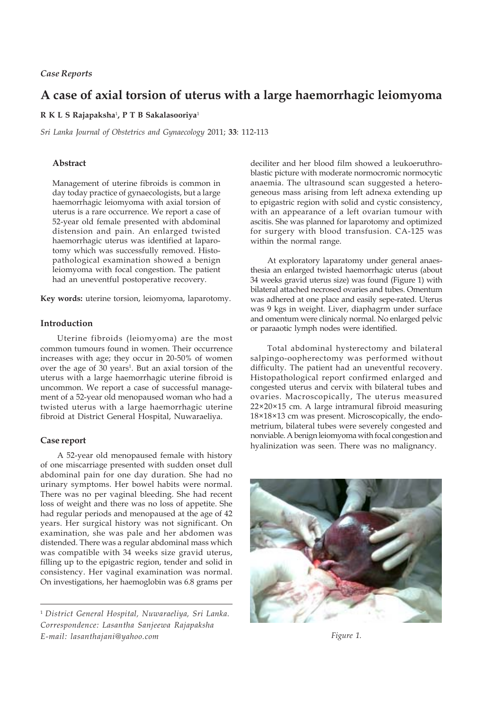# **A case of axial torsion of uterus with a large haemorrhagic leiomyoma**

## **R K L S Rajapaksha**<sup>1</sup> **, P T B Sakalasooriya**<sup>1</sup>

*Sri Lanka Journal of Obstetrics and Gynaecology* 2011; **33**: 112-113

## **Abstract**

Management of uterine fibroids is common in day today practice of gynaecologists, but a large haemorrhagic leiomyoma with axial torsion of uterus is a rare occurrence. We report a case of 52-year old female presented with abdominal distension and pain. An enlarged twisted haemorrhagic uterus was identified at laparotomy which was successfully removed. Histopathological examination showed a benign leiomyoma with focal congestion. The patient had an uneventful postoperative recovery.

**Key words:** uterine torsion, leiomyoma, laparotomy.

## **Introduction**

Uterine fibroids (leiomyoma) are the most common tumours found in women. Their occurrence increases with age; they occur in 20-50% of women over the age of 30 years<sup>1</sup>. But an axial torsion of the uterus with a large haemorrhagic uterine fibroid is uncommon. We report a case of successful management of a 52-year old menopaused woman who had a twisted uterus with a large haemorrhagic uterine fibroid at District General Hospital, Nuwaraeliya.

### **Case report**

A 52-year old menopaused female with history of one miscarriage presented with sudden onset dull abdominal pain for one day duration. She had no urinary symptoms. Her bowel habits were normal. There was no per vaginal bleeding. She had recent loss of weight and there was no loss of appetite. She had regular periods and menopaused at the age of 42 years. Her surgical history was not significant. On examination, she was pale and her abdomen was distended. There was a regular abdominal mass which was compatible with 34 weeks size gravid uterus, filling up to the epigastric region, tender and solid in consistency. Her vaginal examination was normal. On investigations, her haemoglobin was 6.8 grams per

deciliter and her blood film showed a leukoeruthroblastic picture with moderate normocromic normocytic anaemia. The ultrasound scan suggested a heterogeneous mass arising from left adnexa extending up to epigastric region with solid and cystic consistency, with an appearance of a left ovarian tumour with ascitis. She was planned for laparotomy and optimized for surgery with blood transfusion. CA-125 was within the normal range.

At exploratory laparatomy under general anaesthesia an enlarged twisted haemorrhagic uterus (about 34 weeks gravid uterus size) was found (Figure 1) with bilateral attached necrosed ovaries and tubes. Omentum was adhered at one place and easily sepe-rated. Uterus was 9 kgs in weight. Liver, diaphagrm under surface and omentum were clinicaly normal. No enlarged pelvic or paraaotic lymph nodes were identified.

Total abdominal hysterectomy and bilateral salpingo-oopherectomy was performed without difficulty. The patient had an uneventful recovery. Histopathological report confirmed enlarged and congested uterus and cervix with bilateral tubes and ovaries. Macroscopically, The uterus measured 22×20×15 cm. A large intramural fibroid measuring 18×18×13 cm was present. Microscopically, the endometrium, bilateral tubes were severely congested and nonviable. A benign leiomyoma with focal congestion and hyalinization was seen. There was no malignancy.



*Figure 1.*

<sup>1</sup> *District General Hospital, Nuwaraeliya, Sri Lanka. Correspondence: Lasantha Sanjeewa Rajapaksha E-mail: lasanthajani@yahoo.com*